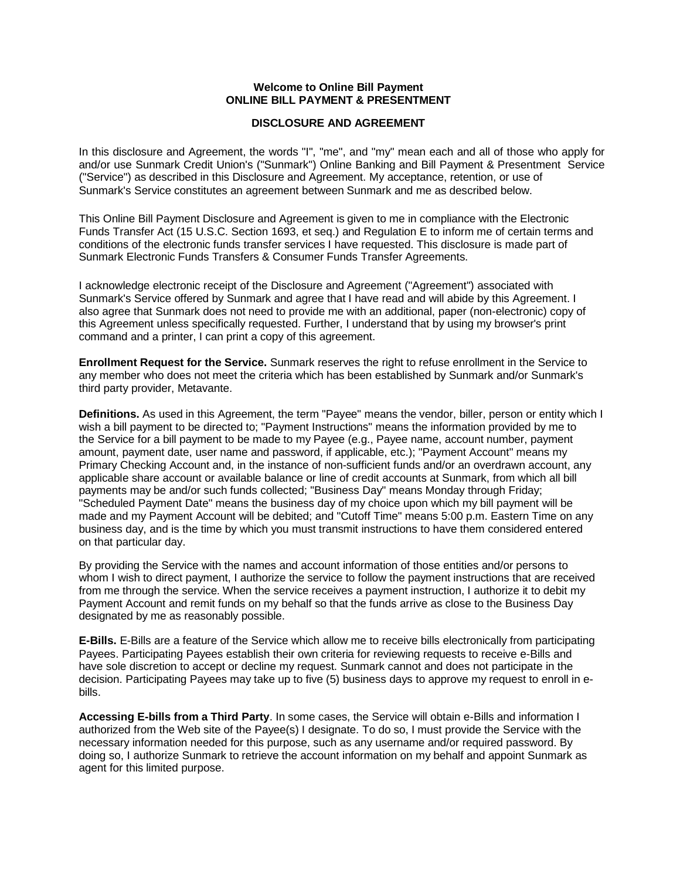## **Welcome to Online Bill Payment ONLINE BILL PAYMENT & PRESENTMENT**

## **DISCLOSURE AND AGREEMENT**

In this disclosure and Agreement, the words "I", "me", and "my" mean each and all of those who apply for and/or use Sunmark Credit Union's ("Sunmark") Online Banking and Bill Payment & Presentment Service ("Service") as described in this Disclosure and Agreement. My acceptance, retention, or use of Sunmark's Service constitutes an agreement between Sunmark and me as described below.

This Online Bill Payment Disclosure and Agreement is given to me in compliance with the Electronic Funds Transfer Act (15 U.S.C. Section 1693, et seq.) and Regulation E to inform me of certain terms and conditions of the electronic funds transfer services I have requested. This disclosure is made part of Sunmark Electronic Funds Transfers & Consumer Funds Transfer Agreements.

I acknowledge electronic receipt of the Disclosure and Agreement ("Agreement") associated with Sunmark's Service offered by Sunmark and agree that I have read and will abide by this Agreement. I also agree that Sunmark does not need to provide me with an additional, paper (non-electronic) copy of this Agreement unless specifically requested. Further, I understand that by using my browser's print command and a printer, I can print a copy of this agreement.

**Enrollment Request for the Service.** Sunmark reserves the right to refuse enrollment in the Service to any member who does not meet the criteria which has been established by Sunmark and/or Sunmark's third party provider, Metavante.

**Definitions.** As used in this Agreement, the term "Payee" means the vendor, biller, person or entity which I wish a bill payment to be directed to; "Payment Instructions" means the information provided by me to the Service for a bill payment to be made to my Payee (e.g., Payee name, account number, payment amount, payment date, user name and password, if applicable, etc.); "Payment Account" means my Primary Checking Account and, in the instance of non-sufficient funds and/or an overdrawn account, any applicable share account or available balance or line of credit accounts at Sunmark, from which all bill payments may be and/or such funds collected; "Business Day" means Monday through Friday; "Scheduled Payment Date" means the business day of my choice upon which my bill payment will be made and my Payment Account will be debited; and "Cutoff Time" means 5:00 p.m. Eastern Time on any business day, and is the time by which you must transmit instructions to have them considered entered on that particular day.

By providing the Service with the names and account information of those entities and/or persons to whom I wish to direct payment, I authorize the service to follow the payment instructions that are received from me through the service. When the service receives a payment instruction, I authorize it to debit my Payment Account and remit funds on my behalf so that the funds arrive as close to the Business Day designated by me as reasonably possible.

**E-Bills.** E-Bills are a feature of the Service which allow me to receive bills electronically from participating Payees. Participating Payees establish their own criteria for reviewing requests to receive e-Bills and have sole discretion to accept or decline my request. Sunmark cannot and does not participate in the decision. Participating Payees may take up to five (5) business days to approve my request to enroll in ebills.

**Accessing E-bills from a Third Party**. In some cases, the Service will obtain e-Bills and information I authorized from the Web site of the Payee(s) I designate. To do so, I must provide the Service with the necessary information needed for this purpose, such as any username and/or required password. By doing so, I authorize Sunmark to retrieve the account information on my behalf and appoint Sunmark as agent for this limited purpose.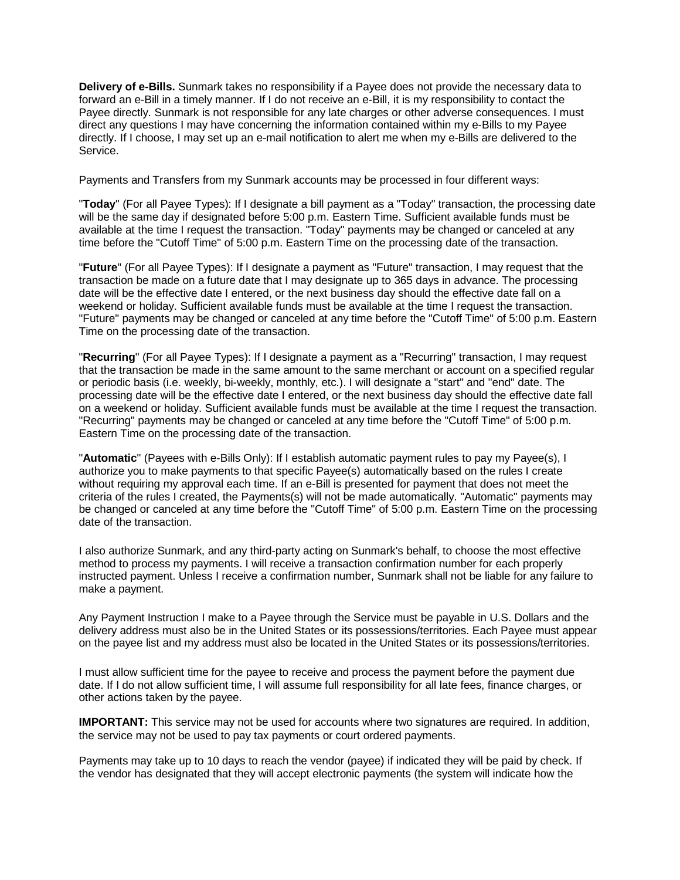**Delivery of e-Bills.** Sunmark takes no responsibility if a Payee does not provide the necessary data to forward an e-Bill in a timely manner. If I do not receive an e-Bill, it is my responsibility to contact the Payee directly. Sunmark is not responsible for any late charges or other adverse consequences. I must direct any questions I may have concerning the information contained within my e-Bills to my Payee directly. If I choose, I may set up an e-mail notification to alert me when my e-Bills are delivered to the Service.

Payments and Transfers from my Sunmark accounts may be processed in four different ways:

"**Today**" (For all Payee Types): If I designate a bill payment as a "Today" transaction, the processing date will be the same day if designated before 5:00 p.m. Eastern Time. Sufficient available funds must be available at the time I request the transaction. "Today" payments may be changed or canceled at any time before the "Cutoff Time" of 5:00 p.m. Eastern Time on the processing date of the transaction.

"**Future**" (For all Payee Types): If I designate a payment as "Future" transaction, I may request that the transaction be made on a future date that I may designate up to 365 days in advance. The processing date will be the effective date I entered, or the next business day should the effective date fall on a weekend or holiday. Sufficient available funds must be available at the time I request the transaction. "Future" payments may be changed or canceled at any time before the "Cutoff Time" of 5:00 p.m. Eastern Time on the processing date of the transaction.

"**Recurring**" (For all Payee Types): If I designate a payment as a "Recurring" transaction, I may request that the transaction be made in the same amount to the same merchant or account on a specified regular or periodic basis (i.e. weekly, bi-weekly, monthly, etc.). I will designate a "start" and "end" date. The processing date will be the effective date I entered, or the next business day should the effective date fall on a weekend or holiday. Sufficient available funds must be available at the time I request the transaction. "Recurring" payments may be changed or canceled at any time before the "Cutoff Time" of 5:00 p.m. Eastern Time on the processing date of the transaction.

"**Automatic**" (Payees with e-Bills Only): If I establish automatic payment rules to pay my Payee(s), I authorize you to make payments to that specific Payee(s) automatically based on the rules I create without requiring my approval each time. If an e-Bill is presented for payment that does not meet the criteria of the rules I created, the Payments(s) will not be made automatically. "Automatic" payments may be changed or canceled at any time before the "Cutoff Time" of 5:00 p.m. Eastern Time on the processing date of the transaction.

I also authorize Sunmark, and any third-party acting on Sunmark's behalf, to choose the most effective method to process my payments. I will receive a transaction confirmation number for each properly instructed payment. Unless I receive a confirmation number, Sunmark shall not be liable for any failure to make a payment.

Any Payment Instruction I make to a Payee through the Service must be payable in U.S. Dollars and the delivery address must also be in the United States or its possessions/territories. Each Payee must appear on the payee list and my address must also be located in the United States or its possessions/territories.

I must allow sufficient time for the payee to receive and process the payment before the payment due date. If I do not allow sufficient time, I will assume full responsibility for all late fees, finance charges, or other actions taken by the payee.

**IMPORTANT:** This service may not be used for accounts where two signatures are required. In addition, the service may not be used to pay tax payments or court ordered payments.

Payments may take up to 10 days to reach the vendor (payee) if indicated they will be paid by check. If the vendor has designated that they will accept electronic payments (the system will indicate how the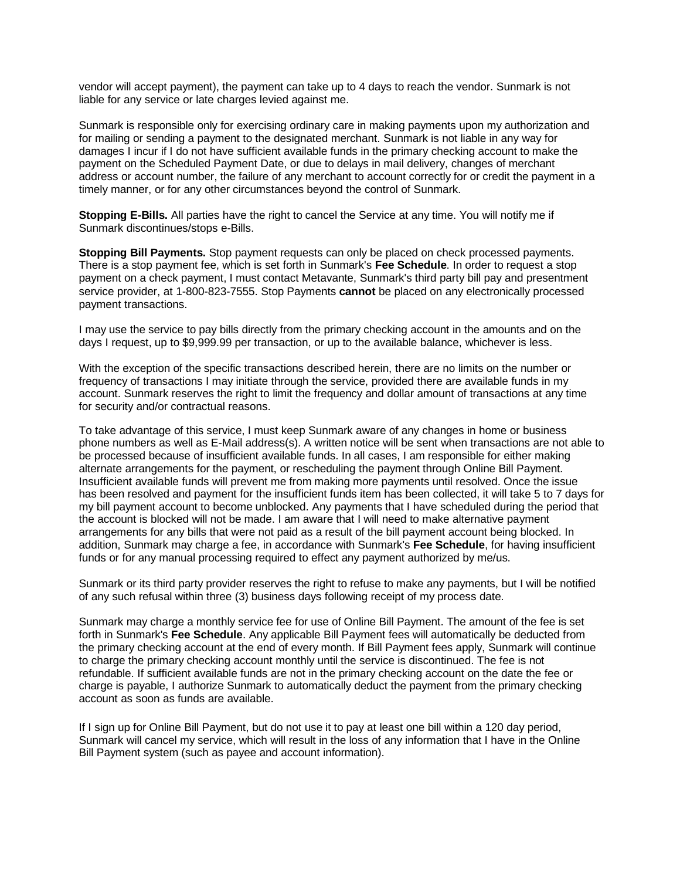vendor will accept payment), the payment can take up to 4 days to reach the vendor. Sunmark is not liable for any service or late charges levied against me.

Sunmark is responsible only for exercising ordinary care in making payments upon my authorization and for mailing or sending a payment to the designated merchant. Sunmark is not liable in any way for damages I incur if I do not have sufficient available funds in the primary checking account to make the payment on the Scheduled Payment Date, or due to delays in mail delivery, changes of merchant address or account number, the failure of any merchant to account correctly for or credit the payment in a timely manner, or for any other circumstances beyond the control of Sunmark.

**Stopping E-Bills.** All parties have the right to cancel the Service at any time. You will notify me if Sunmark discontinues/stops e-Bills.

**Stopping Bill Payments.** Stop payment requests can only be placed on check processed payments. There is a stop payment fee, which is set forth in Sunmark's **Fee Schedule**. In order to request a stop payment on a check payment, I must contact Metavante, Sunmark's third party bill pay and presentment service provider, at 1-800-823-7555. Stop Payments **cannot** be placed on any electronically processed payment transactions.

I may use the service to pay bills directly from the primary checking account in the amounts and on the days I request, up to \$9,999.99 per transaction, or up to the available balance, whichever is less.

With the exception of the specific transactions described herein, there are no limits on the number or frequency of transactions I may initiate through the service, provided there are available funds in my account. Sunmark reserves the right to limit the frequency and dollar amount of transactions at any time for security and/or contractual reasons.

To take advantage of this service, I must keep Sunmark aware of any changes in home or business phone numbers as well as E-Mail address(s). A written notice will be sent when transactions are not able to be processed because of insufficient available funds. In all cases, I am responsible for either making alternate arrangements for the payment, or rescheduling the payment through Online Bill Payment. Insufficient available funds will prevent me from making more payments until resolved. Once the issue has been resolved and payment for the insufficient funds item has been collected, it will take 5 to 7 days for my bill payment account to become unblocked. Any payments that I have scheduled during the period that the account is blocked will not be made. I am aware that I will need to make alternative payment arrangements for any bills that were not paid as a result of the bill payment account being blocked. In addition, Sunmark may charge a fee, in accordance with Sunmark's **Fee Schedule**, for having insufficient funds or for any manual processing required to effect any payment authorized by me/us.

Sunmark or its third party provider reserves the right to refuse to make any payments, but I will be notified of any such refusal within three (3) business days following receipt of my process date.

Sunmark may charge a monthly service fee for use of Online Bill Payment. The amount of the fee is set forth in Sunmark's **Fee Schedule**. Any applicable Bill Payment fees will automatically be deducted from the primary checking account at the end of every month. If Bill Payment fees apply, Sunmark will continue to charge the primary checking account monthly until the service is discontinued. The fee is not refundable. If sufficient available funds are not in the primary checking account on the date the fee or charge is payable, I authorize Sunmark to automatically deduct the payment from the primary checking account as soon as funds are available.

If I sign up for Online Bill Payment, but do not use it to pay at least one bill within a 120 day period, Sunmark will cancel my service, which will result in the loss of any information that I have in the Online Bill Payment system (such as payee and account information).